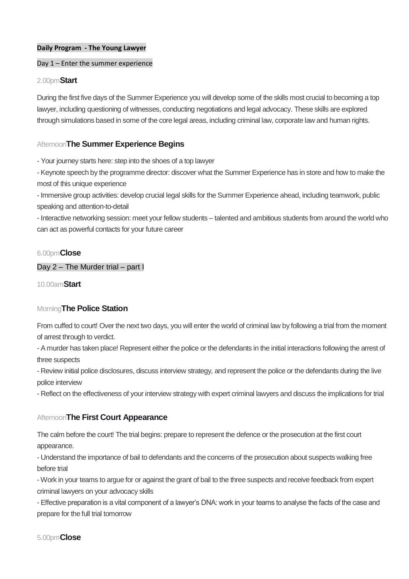#### **Daily Program - The Young Lawyer**

#### Day 1 – Enter the summer experience

#### 2.00pm**Start**

During the first five days of the Summer Experience you will develop some of the skills most crucial to becoming a top lawyer, including questioning of witnesses, conducting negotiations and legal advocacy. These skills are explored through simulations based in some of the core legal areas, including criminal law, corporate law and human rights.

#### Afternoon**The Summer Experience Begins**

- Your journey starts here: step into the shoes of a top lawyer

- Keynote speech by the programme director: discover what the Summer Experience has in store and how to make the most of this unique experience

- Immersive group activities: develop crucial legal skills for the Summer Experience ahead, including teamwork, public speaking and attention-to-detail

- Interactive networking session: meet your fellow students – talented and ambitious students from around the world who can act as powerful contacts for your future career

#### 6.00pm**Close**

### Day 2 – The Murder trial – part I

10.00am**Start**

#### Morning**The Police Station**

From cuffed to court! Over the next two days, you will enter the world of criminal law by following a trial from the moment of arrest through to verdict.

- A murder has taken place! Represent either the police or the defendants in the initial interactions following the arrest of three suspects

- Review initial police disclosures, discuss interview strategy, and represent the police or the defendants during the live police interview

- Reflect on the effectiveness of your interview strategy with expert criminal lawyers and discuss the implications for trial

#### Afternoon**The First Court Appearance**

The calm before the court! The trial begins: prepare to represent the defence or the prosecution at the first court appearance.

- Understand the importance of bail to defendants and the concerns of the prosecution about suspects walking free before trial

- Work in your teams to argue for or against the grant of bail to the three suspects and receive feedback from expert criminal lawyers on your advocacy skills

- Effective preparation is a vital component of a lawyer's DNA: work in your teams to analyse the facts of the case and prepare for the full trial tomorrow

#### 5.00pm**Close**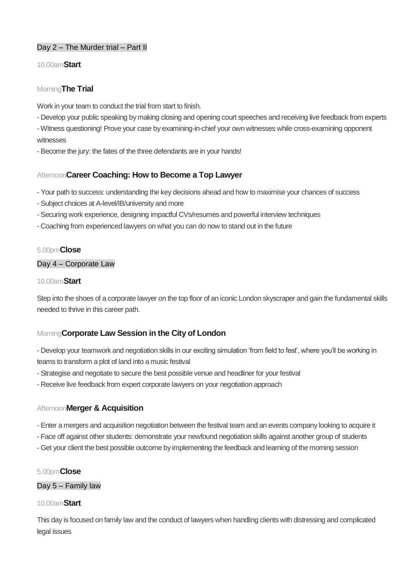## Day 2 – The Murder trial – Part II

### 10.00am**Start**

### Morning**The Trial**

Work in your team to conduct the trial from start to finish.

- Develop your public speaking by making closing and opening court speeches and receiving live feedback from experts

- Witness questioning! Prove your case by examining-in-chief your own witnesses while cross-examining opponent witnesses

- Become the jury: the fates of the three defendants are in your hands!

### Afternoon**Career Coaching: How to Become a Top Lawyer**

- Your path to success: understanding the key decisions ahead and how to maximise your chances of success
- Subject choices at A-level/IB/university and more
- Securing work experience, designing impactful CVs/resumes and powerful interview techniques
- Coaching from experienced lawyers on what you can do now to stand out in the future

### 5.00pm**Close**

### Day 4 – Corporate Law

#### 10.00am**Start**

Step into the shoes of a corporate lawyer on the top floor of an iconic London skyscraper and gain the fundamental skills needed to thrive in this career path.

## Morning**Corporate Law Session in the City of London**

- Develop your teamwork and negotiation skills in our exciting simulation 'from field to fest', where you'll be working in teams to transform a plot of land into a music festival

- Strategise and negotiate to secure the best possible venue and headliner for your festival
- Receive live feedback from expert corporate lawyers on your negotiation approach

### Afternoon**Merger & Acquisition**

- Enter a mergers and acquisition negotiation between the festival team and an events company looking to acquire it
- Face off against other students: demonstrate your newfound negotiation skills against another group of students
- Get your client the best possible outcome by implementing the feedback and learning of the morning session

### 5.00pm**Close**

### Day 5 – Family law

### 10.00am**Start**

This day is focused on family law and the conduct of lawyers when handling clients with distressing and complicated legal issues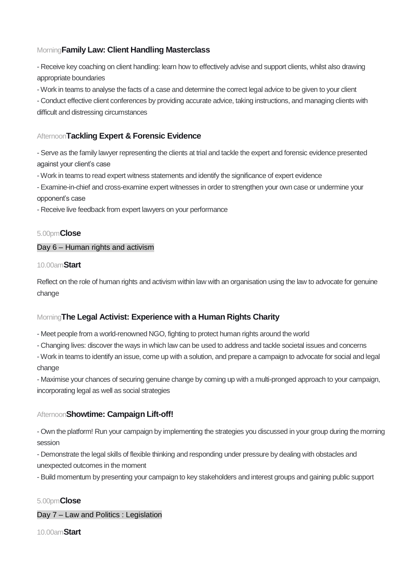# Morning**Family Law: Client Handling Masterclass**

- Receive key coaching on client handling: learn how to effectively advise and support clients, whilst also drawing appropriate boundaries

- Work in teams to analyse the facts of a case and determine the correct legal advice to be given to your client

- Conduct effective client conferences by providing accurate advice, taking instructions, and managing clients with difficult and distressing circumstances

# Afternoon**Tackling Expert & Forensic Evidence**

- Serve as the family lawyer representing the clients at trial and tackle the expert and forensic evidence presented against your client's case

- Work in teams to read expert witness statements and identify the significance of expert evidence

- Examine-in-chief and cross-examine expert witnesses in order to strengthen your own case or undermine your opponent's case

- Receive live feedback from expert lawyers on your performance

## 5.00pm**Close**

### Day 6 – Human rights and activism

### 10.00am**Start**

Reflect on the role of human rights and activism within law with an organisation using the law to advocate for genuine change

# Morning**The Legal Activist: Experience with a Human Rights Charity**

- Meet people from a world-renowned NGO, fighting to protect human rights around the world

- Changing lives: discover the ways in which law can be used to address and tackle societal issues and concerns

- Work in teams to identify an issue, come up with a solution, and prepare a campaign to advocate for social and legal change

- Maximise your chances of securing genuine change by coming up with a multi-pronged approach to your campaign, incorporating legal as well as social strategies

## Afternoon**Showtime: Campaign Lift-off!**

- Own the platform! Run your campaign by implementing the strategies you discussed in your group during the morning session

- Demonstrate the legal skills of flexible thinking and responding under pressure by dealing with obstacles and unexpected outcomes in the moment

- Build momentum by presenting your campaign to key stakeholders and interest groups and gaining public support

## 5.00pm**Close**

## Day 7 – Law and Politics : Legislation

10.00am**Start**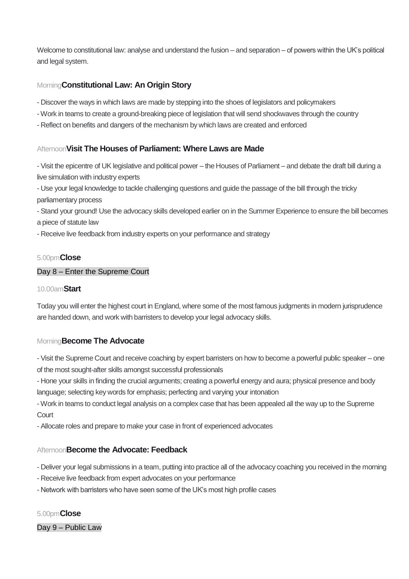Welcome to constitutional law: analyse and understand the fusion – and separation – of powers within the UK's political and legal system.

# Morning**Constitutional Law: An Origin Story**

- Discover the ways in which laws are made by stepping into the shoes of legislators and policymakers
- Work in teams to create a ground-breaking piece of legislation that will send shockwaves through the country
- Reflect on benefits and dangers of the mechanism by which laws are created and enforced

### Afternoon**Visit The Houses of Parliament: Where Laws are Made**

- Visit the epicentre of UK legislative and political power – the Houses of Parliament – and debate the draft bill during a live simulation with industry experts

- Use your legal knowledge to tackle challenging questions and guide the passage of the bill through the tricky parliamentary process

- Stand your ground! Use the advocacy skills developed earlier on in the Summer Experience to ensure the bill becomes a piece of statute law

- Receive live feedback from industry experts on your performance and strategy

### 5.00pm**Close**

### Day 8 – Enter the Supreme Court

#### 10.00am**Start**

Today you will enter the highest court in England, where some of the most famous judgments in modern jurisprudence are handed down, and work with barristers to develop your legal advocacy skills.

### Morning**Become The Advocate**

- Visit the Supreme Court and receive coaching by expert barristers on how to become a powerful public speaker – one of the most sought-after skills amongst successful professionals

- Hone your skills in finding the crucial arguments; creating a powerful energy and aura; physical presence and body language; selecting key words for emphasis; perfecting and varying your intonation

- Work in teams to conduct legal analysis on a complex case that has been appealed all the way up to the Supreme Court

- Allocate roles and prepare to make your case in front of experienced advocates

## Afternoon**Become the Advocate: Feedback**

- Deliver your legal submissions in a team, putting into practice all of the advocacy coaching you received in the morning

- Receive live feedback from expert advocates on your performance
- Network with barristers who have seen some of the UK's most high profile cases

5.00pm**Close**

Day 9 – Public Law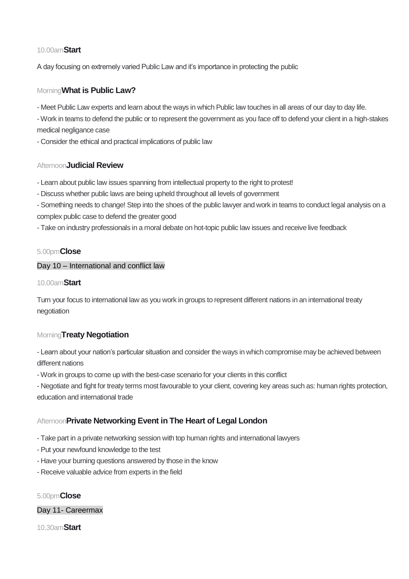### 10.00am**Start**

A day focusing on extremely varied Public Law and it's importance in protecting the public

## Morning**What is Public Law?**

- Meet Public Law experts and learn about the ways in which Public law touches in all areas of our day to day life.

- Work in teams to defend the public or to represent the government as you face off to defend your client in a high-stakes medical negligance case

- Consider the ethical and practical implications of public law

### Afternoon**Judicial Review**

- Learn about public law issues spanning from intellectual property to the right to protest!
- Discuss whether public laws are being upheld throughout all levels of government
- Something needs to change! Step into the shoes of the public lawyer and work in teams to conduct legal analysis on a complex public case to defend the greater good

- Take on industry professionals in a moral debate on hot-topic public law issues and receive live feedback

## 5.00pm**Close**

### Day 10 – International and conflict law

### 10.00am**Start**

Turn your focus to international law as you work in groups to represent different nations in an international treaty negotiation

## Morning**Treaty Negotiation**

- Learn about your nation's particular situation and consider the ways in which compromise may be achieved between different nations

- Work in groups to come up with the best-case scenario for your clients in this conflict

- Negotiate and fight for treaty terms most favourable to your client, covering key areas such as: human rights protection, education and international trade

# Afternoon**Private Networking Event in The Heart of Legal London**

- Take part in a private networking session with top human rights and international lawyers
- Put your newfound knowledge to the test
- Have your burning questions answered by those in the know
- Receive valuable advice from experts in the field

### 5.00pm**Close**

## Day 11- Careermax

10.30am**Start**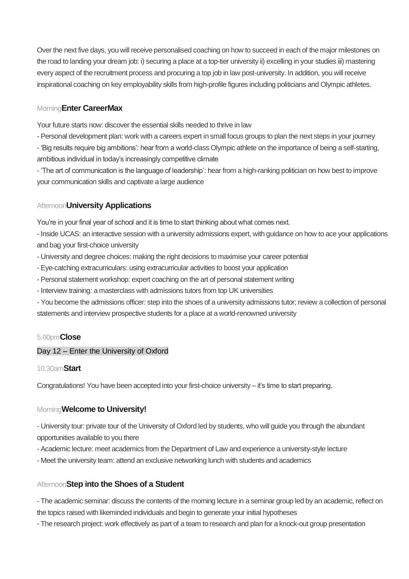Over the next five days, you will receive personalised coaching on how to succeed in each of the major milestones on the road to landing your dream job: i) securing a place at a top-tier university ii) excelling in your studies iii) mastering every aspect of the recruitment process and procuring a top job in law post-university. In addition, you will receive inspirational coaching on key employability skills from high-profile figures including politicians and Olympic athletes.

# Morning**Enter CareerMax**

Your future starts now: discover the essential skills needed to thrive in law

- Personal development plan: work with a careers expert in small focus groups to plan the next steps in your journey

- 'Big results require big ambitions': hear from a world-class Olympic athlete on the importance of being a self-starting, ambitious individual in today's increasingly competitive climate

- 'The art of communication is the language of leadership': hear from a high-ranking politician on how best to improve your communication skills and captivate a large audience

## Afternoon**University Applications**

You're in your final year of school and it is time to start thinking about what comes next.

- Inside UCAS: an interactive session with a university admissions expert, with guidance on how to ace your applications and bag your first-choice university

- University and degree choices: making the right decisions to maximise your career potential
- Eye-catching extracurriculars: using extracurricular activities to boost your application
- Personal statement workshop: expert coaching on the art of personal statement writing
- Interview training: a masterclass with admissions tutors from top UK universities

- You become the admissions officer: step into the shoes of a university admissions tutor; review a collection of personal statements and interview prospective students for a place at a world-renowned university

## 5.00pm**Close**

## Day 12 – Enter the University of Oxford

## 10.30am**Start**

Congratulations! You have been accepted into your first-choice university – it's time to start preparing.

# Morning**Welcome to University!**

- University tour: private tour of the University of Oxford led by students, who will guide you through the abundant opportunities available to you there

- Academic lecture: meet academics from the Department of Law and experience a university-style lecture
- Meet the university team: attend an exclusive networking lunch with students and academics

## Afternoon**Step into the Shoes of a Student**

- The academic seminar: discuss the contents of the morning lecture in a seminar group led by an academic, reflect on the topics raised with likeminded individuals and begin to generate your initial hypotheses

- The research project: work effectively as part of a team to research and plan for a knock-out group presentation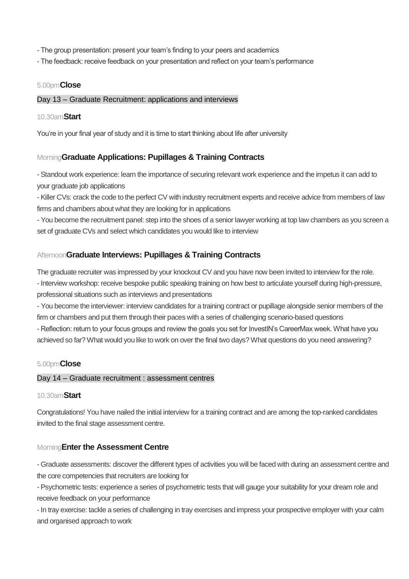- The group presentation: present your team's finding to your peers and academics
- The feedback: receive feedback on your presentation and reflect on your team's performance

### 5.00pm**Close**

#### Day 13 – Graduate Recruitment: applications and interviews

#### 10.30am**Start**

You're in your final year of study and it is time to start thinking about life after university

### Morning**Graduate Applications: Pupillages & Training Contracts**

- Standout work experience: learn the importance of securing relevant work experience and the impetus it can add to your graduate job applications

- Killer CVs: crack the code to the perfect CV with industry recruitment experts and receive advice from members of law firms and chambers about what they are looking for in applications

- You become the recruitment panel: step into the shoes of a senior lawyer working at top law chambers as you screen a set of graduate CVs and select which candidates you would like to interview

## Afternoon**Graduate Interviews: Pupillages & Training Contracts**

The graduate recruiter was impressed by your knockout CV and you have now been invited to interview for the role.

- Interview workshop: receive bespoke public speaking training on how best to articulate yourself during high-pressure, professional situations such as interviews and presentations

- You become the interviewer: interview candidates for a training contract or pupillage alongside senior members of the firm or chambers and put them through their paces with a series of challenging scenario-based questions

- Reflection: return to your focus groups and review the goals you set for InvestIN's CareerMax week. What have you achieved so far? What would you like to work on over the final two days? What questions do you need answering?

### 5.00pm**Close**

#### Day 14 – Graduate recruitment : assessment centres

#### 10.30am**Start**

Congratulations! You have nailed the initial interview for a training contract and are among the top-ranked candidates invited to the final stage assessment centre.

### Morning**Enter the Assessment Centre**

- Graduate assessments: discover the different types of activities you will be faced with during an assessment centre and the core competencies that recruiters are looking for

- Psychometric tests: experience a series of psychometric tests that will gauge your suitability for your dream role and receive feedback on your performance

- In tray exercise: tackle a series of challenging in tray exercises and impress your prospective employer with your calm and organised approach to work